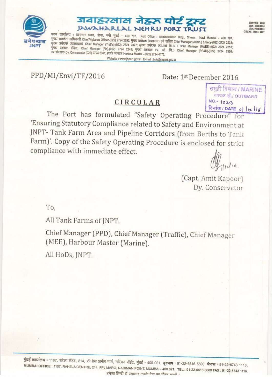

# जवाहरलाल नेहरू पोर्ट ट्रस्ट JAWAHARLAL NEHRU PORT TRUST

पत्तन कार्यालय : प्रशासन भवन, शेवा, नवी मुंबई - 400 707. Port Office : Administration Bldg., Sheva, Navi Mumbai - 400 707. मुख्य सतर्कता अधिकारी Chief Vigilance Officer-(022) 2724 2292; मुख्य प्रबंधक (प्रशासन) एवं सचिव Chief Manager (Admn.) & Secy-(022) 2724 2233; मुख्य प्रबंधक (यातायात) Chlef Manager (Traffic)-(022) 2724 2377; मुख्य प्रबंधक (यां.एवं वि.अ.) Chief Manager (M&EE)-(022) 2724 2218; मुख्य प्रबंधक (वित्त) Chief Manager (Fin)-(022) 2724 2241; मुख्य प्रबंधक (प. दो. वि.) Chief Manager (PP&D)-(022) 2724 2326; उप-संरक्षक Dy, Conservator (022) 2724 2301; हार्बर मास्टर Harbour Master - (022) 2724 4173. Website : www.jnport.gov.in E-mail : info@jnport.gov.in

PPD/MI/Envi/TF/2016

Date: 1st December 2016

## CIRCULAR

दिनांक/DATE 0| 12-116 The Port has formulated "Safety Operating Procedure" for 'Ensuring Statutory Compliance related to Safety and Environment at JNPT-Tank Farm Area and Pipeline Corridors (from Berths to Tank Farm)'. Copy of the Safety Operating Procedure is enclosed for strict compliance with immediate effect.

11/11/16

 $NO - 1020$ 

समुद्री विभाग / MARINE जाबक सं./ OUTWARD

ISO 9061 : 2008 ISO 14001:2004

ISO 27601:2013 **OHSAS 18001: 2007** 

(Capt. Amit Kapoor) Dy. Conservator

To.

All Tank Farms of INPT.

Chief Manager (PPD), Chief Manager (Traffic), Chief Manager (MEE), Harbour Master (Marine).

All HoDs, JNPT.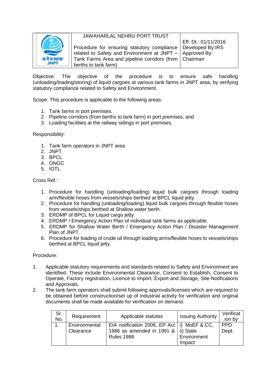

# JAWAHARLAL NEHRU PORT TRUST Procedure for ensuring statutory compliance

related to Safety and Environment at JNPT –

Tank Farms Area and pipeline corridors (from Eff. Dt.: 01/11/2016 Developed By:IRS Approved By: Chairman

Objective: The objective of the procedure is to ensure safe handling (unloading/loading/storing) of liquid cargoes at various tank farms in JNPT area, by verifying statutory compliance related to Safety and Environment.

Scope: This procedure is applicable to the following areas:

berths to tank farm)

- 1. Tank farms in port premises.
- 2. Pipeline corridors (from berths to tank farm) in port premises, and
- 3. Loading facilities at the railway sidings in port premises.

Responsibility:

- 1. Tank farm operators in JNPT area
- 2. JNPT
- 3. BPCL
- 4. ONGC
- 5. IOTL

Cross Ref.:

- 1. Procedure for handling (unloading/loading) liquid bulk cargoes through loading arm/flexible hoses from vessels/ships berthed at BPCL liquid jetty.
- 2. Procedure for handling (unloading/loading) liquid bulk cargoes through flexible hoses from vessels/ships berthed at Shallow water berth.
- 3. ERDMP of BPCL for Liquid cargo jetty.
- 4. ERDMP / Emergency Action Plan of individual tank farms as applicable.
- 5. ERDMP for Shallow Water Berth / Emergency Action Plan / Disaster Management Plan of JNPT.
- 6. Procedure for loading of crude oil through loading arms/flexible hoses to vessels/ships berthed at BPCL liquid jetty.

Procedure:

- 1. Applicable statutory requirements and standards related to Safety and Environment are identified. These include Environmental Clearance, Consent to Establish, Consent to Operate, Factory registration, Licence to Import, Export and Storage, Site Notifications and Approvals.
- 2. The tank farm operators shall submit following approvals/licenses which are required to be obtained before construction/set up of industrial activity for verification and original documents shall be made available for verification on demand.

| Sr.<br>No. | Requirement                | Applicable statutes                                                                    | <b>Issuing Authority</b> | Verificat<br>ion by |
|------------|----------------------------|----------------------------------------------------------------------------------------|--------------------------|---------------------|
|            | Environmental<br>Clearance | EIA notification 2006, EP Act   i) MoEF & CC,<br>1986 as amended in 1991 &   ii) State |                          | <b>PPD</b><br>Dept. |
|            |                            | <b>Rules 1986</b>                                                                      | Environment<br>Impact    |                     |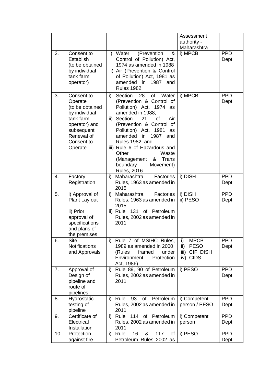|     |                                                                                                                                              |                                                                                                                                                |                                                                                                                                                                                                                                 | Assessment<br>authority -<br>Maharashtra                              |                     |
|-----|----------------------------------------------------------------------------------------------------------------------------------------------|------------------------------------------------------------------------------------------------------------------------------------------------|---------------------------------------------------------------------------------------------------------------------------------------------------------------------------------------------------------------------------------|-----------------------------------------------------------------------|---------------------|
| 2.  | Consent to<br>Establish<br>(to be obtained<br>by individual<br>tank farm<br>operator)                                                        | Water<br>i)<br>amended in<br><b>Rules 1982</b>                                                                                                 | (Prevention<br>&<br>Control of Pollution) Act,<br>1974 as amended in 1988<br>ii) Air (Prevention & Control<br>of Pollution) Act, 1981 as<br>1987 and                                                                            | i) MPCB                                                               | <b>PPD</b><br>Dept. |
| 3.  | Consent to<br>Operate<br>(to be obtained<br>by individual<br>tank farm<br>operator) and<br>subsequent<br>Renewal of<br>Consent to<br>Operate | 28<br>Section<br>i)<br>amended in 1988,<br>ii) Section<br>amended<br>Rules 1982, and<br>Other<br>(Management<br>boundary<br><b>Rules, 2016</b> | of Water<br>(Prevention & Control of<br>Pollution) Act, 1974 as<br>21<br>0f<br>Air<br>(Prevention & Control of<br>Pollution) Act, 1981 as<br>in 1987<br>and<br>iii) Rule 6 of Hazardous and<br>Waste<br>&<br>Trans<br>Movement) | i) MPCB                                                               | <b>PPD</b><br>Dept. |
| 4.  | Factory<br>Registration                                                                                                                      | Maharashtra<br>i)<br>2015                                                                                                                      | Factories<br>Rules, 1963 as amended in                                                                                                                                                                                          | i) DISH                                                               | <b>PPD</b><br>Dept. |
| 5.  | i) Approval of<br>Plant Lay out<br>ii) Prior<br>approval of<br>specifications<br>and plans of<br>the premises                                | Maharashtra<br>i)<br>2015<br>2011                                                                                                              | Factories<br>Rules, 1963 as amended in<br>ii) Rule 131 of Petroleum<br>Rules, 2002 as amended in                                                                                                                                | i) DISH<br>ii) PESO                                                   | <b>PPD</b><br>Dept. |
| 6.  | <b>Site</b><br><b>Notifications</b><br>and Approvals                                                                                         | i)<br>(Rules<br>Environment<br>Act, 1986)                                                                                                      | Rule 7 of MSIHC Rules,<br>1989 as amended in 2000<br>framed<br>under<br>Protection                                                                                                                                              | <b>MPCB</b><br>i)<br><b>PESO</b><br>ii)<br>iii) CIF, DISH<br>iv) CIDS | <b>PPD</b><br>Dept. |
| 7.  | Approval of<br>Design of<br>pipeline and<br>route of<br>pipelines                                                                            | i)<br>2011                                                                                                                                     | Rule 89, 90 of Petroleum<br>Rules, 2002 as amended in                                                                                                                                                                           | i) PESO                                                               | <b>PPD</b><br>Dept. |
| 8.  | Hydrostatic<br>testing of<br>pipeline                                                                                                        | 93<br>Rule<br>i)<br>2011                                                                                                                       | Petroleum<br>of<br>Rules, 2002 as amended in                                                                                                                                                                                    | i) Competent<br>person / PESO                                         | <b>PPD</b><br>Dept. |
| 9.  | Certificate of<br>Electrical<br>Installation                                                                                                 | i)<br>Rule<br>2011                                                                                                                             | 114 of Petroleum<br>Rules, 2002 as amended in                                                                                                                                                                                   | i) Competent<br>person                                                | <b>PPD</b><br>Dept. |
| 10. | Protection<br>against fire                                                                                                                   | 16<br>Rule<br>i)                                                                                                                               | 117<br>&<br>of<br>Petroleum Rules 2002 as                                                                                                                                                                                       | i) PESO                                                               | <b>PPD</b><br>Dept. |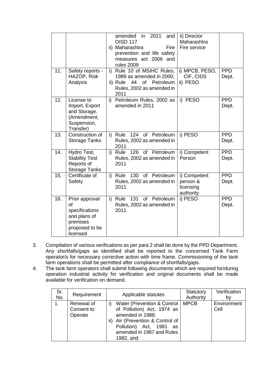|     |                                                                                                  |    | amended in 2011<br>and<br><b>OISD 117</b><br>ii) Maharashtra<br>Fire<br>prevention and life safety<br>measures act 2006 and<br>rules 2009 | ii) Director<br>Maharashtra<br>Fire service        |                     |
|-----|--------------------------------------------------------------------------------------------------|----|-------------------------------------------------------------------------------------------------------------------------------------------|----------------------------------------------------|---------------------|
| 11. | Safety reports -<br>HAZOP, Risk<br>Analysis                                                      |    | i) Rule 10 of MSIHC Rules,<br>1989 as amended in 2000,<br>44<br>$\circ$ f<br>Petroleum<br>ii) Rule<br>Rules, 2002 as amended in<br>2011   | i) MPCB, PESO,<br>CIF, CIDS<br>ii) PESO            | <b>PPD</b><br>Dept. |
| 12. | License to<br>Import, Export<br>and Storage.<br>(Amendment,<br>Suspension,<br>Transfer)          | i) | Petroleum Rules, 2002 as<br>amended in 2011                                                                                               | i) PESO                                            | <b>PPD</b><br>Dept. |
| 13. | Construction of<br><b>Storage Tanks</b>                                                          |    | 124 of Petroleum<br>i) Rule<br>Rules, 2002 as amended in<br>2011                                                                          | i) PESO                                            | <b>PPD</b><br>Dept. |
| 14. | Hydro Test,<br><b>Stability Test</b><br>Reports of<br>Storage Tanks                              |    | i) Rule<br>126 of Petroleum<br>Rules, 2002 as amended in<br>2011                                                                          | i) Competent<br>Person                             | <b>PPD</b><br>Dept. |
| 15. | Certificate of<br>Safety                                                                         |    | i) Rule<br>130 of Petroleum<br>Rules, 2002 as amended in<br>2011                                                                          | i) Competent<br>person &<br>licensing<br>authority | <b>PPD</b><br>Dept. |
| 16. | Prior approval<br>Ωf<br>specifications<br>and plans of<br>premises<br>proposed to be<br>licensed | i) | <b>Rule 131</b><br>of Petroleum<br>Rules, 2002 as amended in<br>2011                                                                      | i) PESO                                            | <b>PPD</b><br>Dept. |

- 3. Compilation of various verifications as per para 2 shall be done by the PPD Department. Any shortfalls/gaps as identified shall be reported to the concerned Tank Farm operator/s for necessary corrective action with time frame. Commissioning of the tank farm operations shall be permitted after compliance of shortfalls/gaps.
- 4. The tank farm operators shall submit following documents which are required for/during operation industrial activity for verification and original documents shall be made available for verification on demand.

| Sr.<br>No.     | Requirement                         | Applicable statutes                                                                                                                                                                                       | Verification<br>Statutory<br>Authority<br>b٧ |
|----------------|-------------------------------------|-----------------------------------------------------------------------------------------------------------------------------------------------------------------------------------------------------------|----------------------------------------------|
| 1 <sub>1</sub> | Renewal of<br>Consent to<br>Operate | <b>MPCB</b><br>Water (Prevention & Control)<br>of Pollution) Act, 1974 as<br>amended in 1988.<br>ii) Air (Prevention & Control of<br>Pollution) Act, 1981<br>as<br>amended in 1987 and Rules<br>1982, and | Environment<br>Cell                          |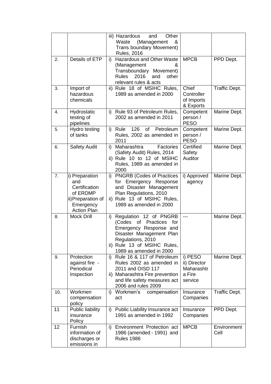|     |                                                                                                             | Other<br>iii) Hazardous<br>and<br>(Management<br>Waste<br>&<br>Trans boundary Movement)<br><b>Rules, 2016</b>                                                                                                |                                                                            |
|-----|-------------------------------------------------------------------------------------------------------------|--------------------------------------------------------------------------------------------------------------------------------------------------------------------------------------------------------------|----------------------------------------------------------------------------|
| 2.  | Details of ETP                                                                                              | Hazardous and Other Waste<br>i)<br>(Management<br>&<br>Transboundary Movement)<br><b>Rules</b><br>2016<br>other<br>and<br>relevant rules & acts                                                              | <b>MPCB</b><br>PPD Dept.                                                   |
| 3.  | Import of<br>hazardous<br>chemicals                                                                         | ii) Rule 18 of MSIHC Rules,<br>1989 as amended in 2000                                                                                                                                                       | Chief<br><b>Traffic Dept.</b><br>Controller<br>of Imports<br>& Exports     |
| 4.  | Hydrostatic<br>testing of<br>pipelines                                                                      | i) Rule 93 of Petroleum Rules,<br>2002 as amended in 2011                                                                                                                                                    | Competent<br>Marine Dept.<br>person /<br><b>PESO</b>                       |
| 5.  | Hydro testing<br>of tanks                                                                                   | 126<br>of<br>Petroleum<br>i)<br>Rule<br>Rules, 2002 as amended in<br>2011                                                                                                                                    | Marine Dept.<br>Competent<br>person /<br><b>PESO</b>                       |
| 6.  | <b>Safety Audit</b>                                                                                         | Maharashtra<br>Factories<br>i)<br>(Safety Audit) Rules, 2014<br>ii) Rule 10 to 12 of MSIHC<br>Rules, 1989 as amended in<br>2000                                                                              | Certified<br>Marine Dept.<br>Safety<br>Auditor                             |
| 7.  | i) Preparation<br>and<br>Certification<br>of ERDMP<br>ii) Preparation of<br>Emergency<br><b>Action Plan</b> | <b>PNGRB (Codes of Practices</b><br>i)<br>Emergency Response<br>for<br>and Disaster Management<br>Plan Regulations, 2010<br>ii) Rule 13 of MSIHC Rules,<br>1989 as amended in 2000                           | Marine Dept.<br>i) Approved<br>agency                                      |
| 8.  | <b>Mock Drill</b>                                                                                           | Regulation 12 of PNGRB<br>i)<br><b>Practices</b><br>(Codes<br>of<br>for<br>Emergency Response and<br>Disaster Management Plan<br>Regulations, 2010<br>ii) Rule 13 of MSIHC Rules,<br>1989 as amended in 2000 | Marine Dept.<br>---                                                        |
| 9.  | Protection<br>against fire -<br>Periodical<br>Inspection                                                    | i)<br>Rule 16 & 117 of Petroleum<br>Rules 2002 as amended in<br>2011 and OISD 117<br>ii) Maharashtra Fire prevention<br>and life safety measures act<br>2006 and rules 2009                                  | i) PESO<br>Marine Dept.<br>ii) Director<br>Maharashtr<br>a Fire<br>service |
| 10. | Workmen<br>compensation<br>policy                                                                           | i)<br>Workmen's<br>compensation<br>act                                                                                                                                                                       | <b>Traffic Dept.</b><br>Insurance<br>Companies                             |
| 11  | Public liability<br>insurance<br>Policy                                                                     | Public Liability Insurance act<br>i)<br>1991 as amended in 1992                                                                                                                                              | PPD Dept.<br>Insurance<br>Companies                                        |
| 12  | Furnish<br>information of<br>discharges or<br>emissions in                                                  | Environment Protection act<br>i)<br>1986 (amended - 1991) and<br><b>Rules 1986</b>                                                                                                                           | <b>MPCB</b><br>Environment<br>Cell                                         |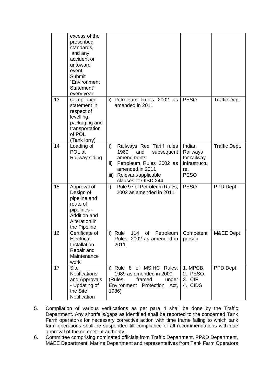|    | excess of the<br>prescribed<br>standards,<br>and any<br>accident or<br>untoward<br>event,<br>Submit<br>"Environment<br>Statement"<br>every year |                                                                                                                                                                                    |                                                                         |                      |
|----|-------------------------------------------------------------------------------------------------------------------------------------------------|------------------------------------------------------------------------------------------------------------------------------------------------------------------------------------|-------------------------------------------------------------------------|----------------------|
| 13 | Compliance<br>statement in<br>respect of<br>levelling,<br>packaging and<br>transportation<br>of POL<br>(Tank lorry)                             | i) Petroleum Rules 2002 as<br>amended in 2011                                                                                                                                      | <b>PESO</b>                                                             | <b>Traffic Dept.</b> |
| 14 | Loading of<br>POL at<br>Railway siding                                                                                                          | Railways Red Tariff rules<br>i)<br>1960<br>and<br>subsequent<br>amendments<br>Petroleum Rules 2002 as<br>ii)<br>amended in 2011<br>iii) Relevant/applicable<br>clauses of OISD 244 | Indian<br>Railways<br>for railway<br>infrastructu<br>re,<br><b>PESO</b> | <b>Traffic Dept.</b> |
| 15 | Approval of<br>Design of<br>pipeline and<br>route of<br>pipelines -<br>Addition and<br>Alteration in<br>the Pipeline                            | i)<br>Rule 97 of Petroleum Rules,<br>2002 as amended in 2011                                                                                                                       | <b>PESO</b>                                                             | PPD Dept.            |
| 16 | Certificate of<br>Electrical<br>Installation -<br>Repair and<br>Maintenance<br>work                                                             | i) Rule<br>114<br>of<br>Petroleum<br>Rules, 2002 as amended in  <br>2011                                                                                                           | Competent<br>person                                                     | M&EE Dept.           |
| 17 | <b>Site</b><br><b>Notifications</b><br>and Approvals<br>- Updating of<br>the Site<br>Notification                                               | i) Rule 8 of MSIHC Rules,<br>1989 as amended in 2000<br>framed<br>(Rules<br>under<br>Environment Protection Act,<br>1986)                                                          | 1. MPCB,<br>2. PESO,<br>3. CIF,<br>4. CIDS                              | PPD Dept.            |

- 5. Compilation of various verifications as per para 4 shall be done by the Traffic Department. Any shortfalls/gaps as identified shall be reported to the concerned Tank Farm operator/s for necessary corrective action with time frame failing to which tank farm operations shall be suspended till compliance of all recommendations with due approval of the competent authority.
- 6. Committee comprising nominated officials from Traffic Department, PP&D Department, M&EE Department, Marine Department and representatives from Tank Farm Operators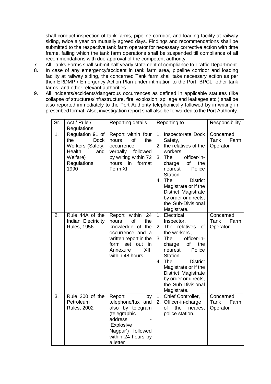shall conduct inspection of tank farms, pipeline corridor, and loading facility at railway siding, twice a year on mutually agreed days. Findings and recommendations shall be submitted to the respective tank farm operator for necessary corrective action with time frame, failing which the tank farm operations shall be suspended till compliance of all recommendations with due approval of the competent authority.

- 7. All Tanks Farms shall submit half yearly statement of compliance to Traffic Department.
- 8. In case of any emergency/accident in tank farm area, pipeline corridor and loading facility at railway siding, the concerned Tank farm shall take necessary action as per their ERDMP / Emergency Action Plan under intimation to the Port, BPCL, other tank farms, and other relevant authorities.
- 9. All incidents/accidents/dangerous occurrences as defined in applicable statutes (like collapse of structures/infrastructure, fire, explosion, spillage and leakages etc.) shall be also reported immediately to the Port Authority telephonically followed by in writing in prescribed format. Also, investigation report shall also be forwarded to the Port Authority.

| Sr. | Act / Rule /<br>Regulations                                                                                     | Reporting details                                                                                                                                                        | Reporting to                                                                                                                                                                                                                                                                                     | Responsibility                               |
|-----|-----------------------------------------------------------------------------------------------------------------|--------------------------------------------------------------------------------------------------------------------------------------------------------------------------|--------------------------------------------------------------------------------------------------------------------------------------------------------------------------------------------------------------------------------------------------------------------------------------------------|----------------------------------------------|
| 1.  | Regulation 91 of<br>the<br><b>Dock</b><br>Workers (Safety,<br>Health<br>and<br>Welfare)<br>Regulations,<br>1990 | Report within four<br>of<br>the<br>hours<br>occurrence<br>verbally followed<br>by writing within 72<br>hours in<br>format<br>Form XII                                    | 1. Inspectorate Dock<br>Safety,<br>2. the relatives of the<br>workers,<br>3. The<br>officer-in-<br>of<br>the<br>charge<br>Police<br>nearest<br>Station,<br>4. The<br><b>District</b><br>Magistrate or if the<br>District Magistrate<br>by order or directs,<br>the Sub-Divisional<br>Magistrate. | Concerned<br>Tank<br>Farm<br>Operator        |
| 2.  | Rule 44A of the<br>Indian Electricity<br><b>Rules, 1956</b>                                                     | Report within<br>24<br>of<br>the<br>hours<br>knowledge of the<br>occurrence and a<br>written report in the<br>form set<br>out in<br>XIII<br>Annexure<br>within 48 hours. | 1. Electrical<br>Inspector,<br>2. The relatives<br>of<br>the workers,<br>3. The<br>officer-in-<br>charge<br>of<br>the<br>Police<br>nearest<br>Station,<br>4. The<br><b>District</b><br>Magistrate or if the<br>District Magistrate<br>by order or directs,<br>the Sub-Divisional<br>Magistrate.  | Concerned<br>Tank<br>Farm<br>Operator        |
| 3.  | Rule 200 of the<br>Petroleum<br><b>Rules, 2002</b>                                                              | Report<br>by<br>telephone/fax and<br>also by telegram<br>(telegraphic<br>address<br>'Explosive<br>Nagpur') followed<br>within 24 hours by<br>a letter                    | 1. Chief Controller,<br>2. Officer-in-charge<br>of<br>the<br>nearest<br>police station.                                                                                                                                                                                                          | Concerned<br><b>Tank</b><br>Farm<br>Operator |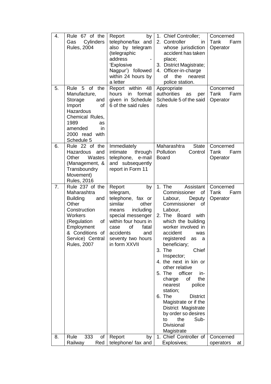| 4. | Rule 67 of the<br>Cylinders<br>Gas<br><b>Rules, 2004</b>                                                                                                                                     | by<br>Report<br>telephone/fax and<br>also by telegram<br>(telegraphic<br>address<br>'Explosive<br>Nagpur') followed<br>within 24 hours by<br>a letter                                                                  | 1. Chief Controller;<br>2. Controller<br>in.<br>whose jurisdiction<br>accident has taken<br>place;<br>3. District Magistrate;<br>4. Officer-in-charge<br>of<br>the<br>nearest<br>police station.                                                                                                                                                                                                                                                                                                                                                                   | Concerned<br>Tank<br>Farm<br>Operator |
|----|----------------------------------------------------------------------------------------------------------------------------------------------------------------------------------------------|------------------------------------------------------------------------------------------------------------------------------------------------------------------------------------------------------------------------|--------------------------------------------------------------------------------------------------------------------------------------------------------------------------------------------------------------------------------------------------------------------------------------------------------------------------------------------------------------------------------------------------------------------------------------------------------------------------------------------------------------------------------------------------------------------|---------------------------------------|
| 5. | Rule 5<br>of the<br>Manufacture,<br>Storage<br>and<br>Import<br>οf<br>Hazardous<br>Chemical Rules,<br>1989<br>as<br>amended<br>in<br>2000 read with<br>Schedule 5                            | Report within<br>- 48<br>hours<br>format<br>in<br>given in Schedule<br>6 of the said rules                                                                                                                             | Appropriate<br>authorities<br>as<br>per<br>Schedule 5 of the said<br>rules                                                                                                                                                                                                                                                                                                                                                                                                                                                                                         | Concerned<br>Tank<br>Farm<br>Operator |
| 6. | $\overline{Rule}$ 22 of the<br>Hazardous<br>and<br>Wastes<br>Other<br>(Management, &<br>Transboundry<br>Movement)<br><b>Rules, 2016</b>                                                      | Immediately<br>intimate<br>through<br>telephone, e-mail<br>and subsequently<br>report in Form 11                                                                                                                       | Maharashtra<br><b>State</b><br>Pollution<br>Control<br><b>Board</b>                                                                                                                                                                                                                                                                                                                                                                                                                                                                                                | Concerned<br>Tank<br>Farm<br>Operator |
| 7. | Rule 237 of the<br>Maharashtra<br><b>Building</b><br>and<br>Other<br>Construction<br>Workers<br>(Regulation<br>of<br>Employment<br>& Conditions of<br>Service) Central<br><b>Rules, 2007</b> | Report<br>by<br>telegram,<br>telephone, fax or<br>other<br>similar<br>including<br>means<br>special messenger<br>within four hours in<br>of<br>fatal<br>case<br>accidents<br>and<br>seventy two hours<br>in form XXVII | 1. The<br>Assistant<br>Commissioner<br>of<br>Labour,<br>Deputy<br>Commissioner<br>$\circ$ of<br>Labour,<br>2. The Board<br>with<br>which the building<br>worker involved in<br>accident<br>was<br>registered<br>as<br>a<br>beneficiary;<br>3. The<br>Chief<br>Inspector;<br>4. the next in kin or<br>other relative<br>officer<br>5. The<br>in-<br>the<br>charge<br>of<br>police<br>nearest<br>station;<br>6. The<br><b>District</b><br>Magistrate or if the<br>District Magistrate<br>by order so desires<br>the<br>to<br>Sub-<br><b>Divisional</b><br>Magistrate | Concerned<br>Tank<br>Farm<br>Operator |
| 8. | 333<br>Rule<br>οf<br>Railway<br>Red                                                                                                                                                          | Report<br>by<br>telephone/ fax and                                                                                                                                                                                     | 1. Chief Controller of<br>Explosives;                                                                                                                                                                                                                                                                                                                                                                                                                                                                                                                              | Concerned<br>operators<br>at          |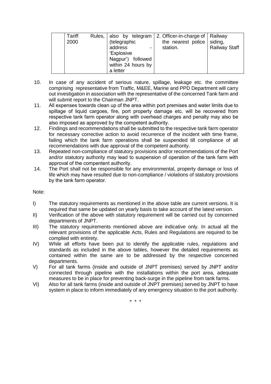| Tariff | Rules, also by telegram | 2. Officer-in-charge of   Railway  |                      |
|--------|-------------------------|------------------------------------|----------------------|
|        |                         |                                    |                      |
| 2000   | (telegraphic            | the nearest police $\vert$ siding, |                      |
|        | address<br>-            | station.                           | <b>Railway Staff</b> |
|        | 'Explosive              |                                    |                      |
|        | Nagpur') followed       |                                    |                      |
|        | within 24 hours by      |                                    |                      |
|        | a letter                |                                    |                      |

- 10. In case of any accident of serious nature, spillage, leakage etc. the committee comprising representative from Traffic, M&EE, Marine and PPD Department will carry out investigation in association with the representative of the concerned Tank farm and will submit report to the Chairman JNPT.
- 11. All expenses towards clean up of the area within port premises and water limits due to spillage of liquid cargoes, fire, port property damage etc. will be recovered from respective tank farm operator along with overhead charges and penalty may also be also imposed as approved by the competent authority.
- 12. Findings and recommendations shall be submitted to the respective tank farm operator for necessary corrective action to avoid recurrence of the incident with time frame, failing which the tank farm operations shall be suspended till compliance of all recommendations with due approval of the competent authority.
- 13. Repeated non-compliance of statutory provisions and/or recommendations of the Port and/or statutory authority may lead to suspension of operation of the tank farm with approval of the compentent authority.
- 14. The Port shall not be responsible for any environmental, property damage or loss of life which may have resulted due to non-compliance / violations of statutory provisions by the tank farm operator.

#### Note:

- I) The statutory requirements as mentioned in the above table are current versions. It is required that same be updated on yearly basis to take account of the latest version.
- II) Verification of the above with statutory requirement will be carried out by concerned departments of JNPT.
- III) The statutory requirements mentioned above are indicative only. In actual all the relevant provisions of the applicable Acts, Rules and Regulations are required to be complied with entirety.
- IV) While all efforts have been put to identify the applicable rules, regulations and standards as included in the above tables, however the detailed requirements as contained within the same are to be addressed by the respective concerned departments.
- V) For all tank farms (inside and outside of JNPT premises) served by JNPT and/or connected through pipeline with the installations within the port area, adequate measures to be in place for preventing back-surge in the pipeline from tank farms.
- VI) Also for all tank farms (inside and outside of JNPT premises) served by JNPT to have system in place to inform immediately of any emergency situation to the port authority.

\* \* \*